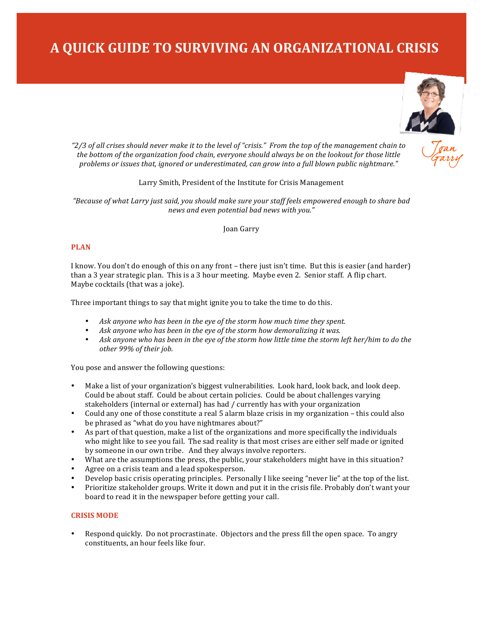# **A QUICK GUIDE TO SURVIVING AN ORGANIZATIONAL CRISIS**



*"2/3 of all crises should never make it to the level of "crisis." From the top of the management chain to*  the bottom of the organization food chain, everyone should always be on the lookout for those little problems or issues that, ignored or underestimated, can grow into a full blown public nightmare."

#### Larry Smith, President of the Institute for Crisis Management

"Because of what Larry just said, you should make sure your staff feels empowered enough to share bad *news and even potential bad news with you."* 

Joan Garry

### **PLAN**

I know. You don't do enough of this on any front – there just isn't time. But this is easier (and harder) than a 3 year strategic plan. This is a 3 hour meeting. Maybe even 2. Senior staff. A flip chart. Maybe cocktails (that was a joke).

Three important things to say that might ignite you to take the time to do this.

- Ask anyone who has been in the eye of the storm how much time they spent.
- Ask anyone who has been in the eye of the storm how demoralizing it was.
- Ask anyone who has been in the eye of the storm how little time the storm left her/him to do the other 99% of their job.

You pose and answer the following questions:

- Make a list of your organization's biggest vulnerabilities. Look hard, look back, and look deep. Could be about staff. Could be about certain policies. Could be about challenges varying stakeholders (internal or external) has had / currently has with your organization
- Could any one of those constitute a real 5 alarm blaze crisis in my organization this could also be phrased as "what do you have nightmares about?"
- As part of that question, make a list of the organizations and more specifically the individuals who might like to see you fail. The sad reality is that most crises are either self made or ignited by someone in our own tribe. And they always involve reporters.
- What are the assumptions the press, the public, your stakeholders might have in this situation?
- Agree on a crisis team and a lead spokesperson.
- Develop basic crisis operating principles. Personally I like seeing "never lie" at the top of the list.
- Prioritize stakeholder groups. Write it down and put it in the crisis file. Probably don't want your board to read it in the newspaper before getting your call.

#### **CRISIS MODE**

Respond quickly. Do not procrastinate. Objectors and the press fill the open space. To angry constituents, an hour feels like four.